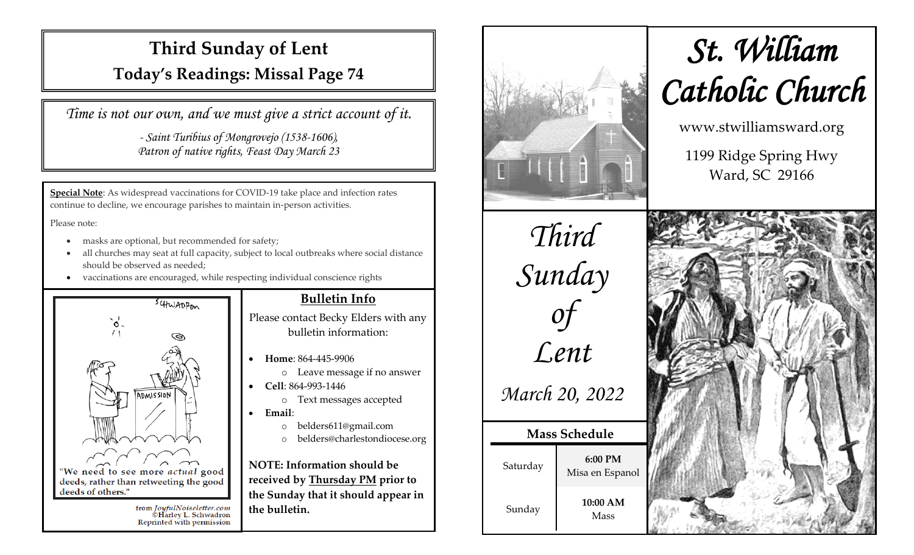# **Third Sunday of Lent**

**Today's Readings: Missal Page 74**

*Time is not our own, and we must give a strict account of it.*

*- Saint Turibius of Mongrovejo (1538-1606), Patron of native rights, Feast Day March 23*

**Special Note**: As widespread vaccinations for COVID-19 take place and infection rates continue to decline, we encourage parishes to maintain in-person activities.

Please note:

- masks are optional, but recommended for safety;
- all churches may seat at full capacity, subject to local outbreaks where social distance should be observed as needed;
- vaccinations are encouraged, while respecting individual conscience rights



### **Bulletin Info**

Please contact Becky Elders with any bulletin information:

- **Home**: 864-445-9906
	- o Leave message if no answer
- **Cell**: 864-993-1446
	- o Text messages accepted
- **Email**:
	- o belders611@gmail.com
	- o belders@charlestondiocese.org

**NOTE: Information should be received by Thursday PM prior to the Sunday that it should appear in the bulletin.**